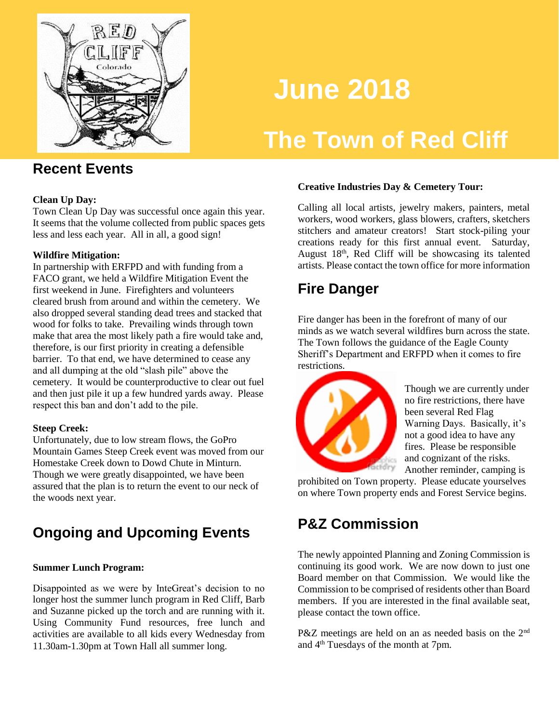

# **June 2018**

## **The Town of Red Cliff**

#### **Recent Events**

#### **Clean Up Day:**

Town Clean Up Day was successful once again this year. It seems that the volume collected from public spaces gets less and less each year. All in all, a good sign!

#### **Wildfire Mitigation:**

In partnership with ERFPD and with funding from a FACO grant, we held a Wildfire Mitigation Event the first weekend in June. Firefighters and volunteers cleared brush from around and within the cemetery. We also dropped several standing dead trees and stacked that wood for folks to take. Prevailing winds through town make that area the most likely path a fire would take and, therefore, is our first priority in creating a defensible barrier. To that end, we have determined to cease any and all dumping at the old "slash pile" above the cemetery. It would be counterproductive to clear out fuel and then just pile it up a few hundred yards away. Please respect this ban and don't add to the pile.

#### **Steep Creek:**

Unfortunately, due to low stream flows, the GoPro Mountain Games Steep Creek event was moved from our Homestake Creek down to Dowd Chute in Minturn. Though we were greatly disappointed, we have been assured that the plan is to return the event to our neck of the woods next year.

### **Ongoing and Upcoming Events**

#### **Summer Lunch Program:**

Disappointed as we were by InteGreat's decision to no longer host the summer lunch program in Red Cliff, Barb and Suzanne picked up the torch and are running with it. Using Community Fund resources, free lunch and activities are available to all kids every Wednesday from 11.30am-1.30pm at Town Hall all summer long.

#### **Creative Industries Day & Cemetery Tour:**

Calling all local artists, jewelry makers, painters, metal workers, wood workers, glass blowers, crafters, sketchers stitchers and amateur creators! Start stock-piling your creations ready for this first annual event. Saturday, August 18th, Red Cliff will be showcasing its talented artists. Please contact the town office for more information

### **Fire Danger**

Fire danger has been in the forefront of many of our minds as we watch several wildfires burn across the state. The Town follows the guidance of the Eagle County Sheriff's Department and ERFPD when it comes to fire restrictions.



Though we are currently under no fire restrictions, there have been several Red Flag Warning Days. Basically, it's not a good idea to have any fires. Please be responsible and cognizant of the risks. Another reminder, camping is

prohibited on Town property. Please educate yourselves on where Town property ends and Forest Service begins.

### **P&Z Commission**

The newly appointed Planning and Zoning Commission is continuing its good work. We are now down to just one Board member on that Commission. We would like the Commission to be comprised of residents other than Board members. If you are interested in the final available seat, please contact the town office.

P&Z meetings are held on an as needed basis on the 2<sup>nd</sup> and 4th Tuesdays of the month at 7pm.